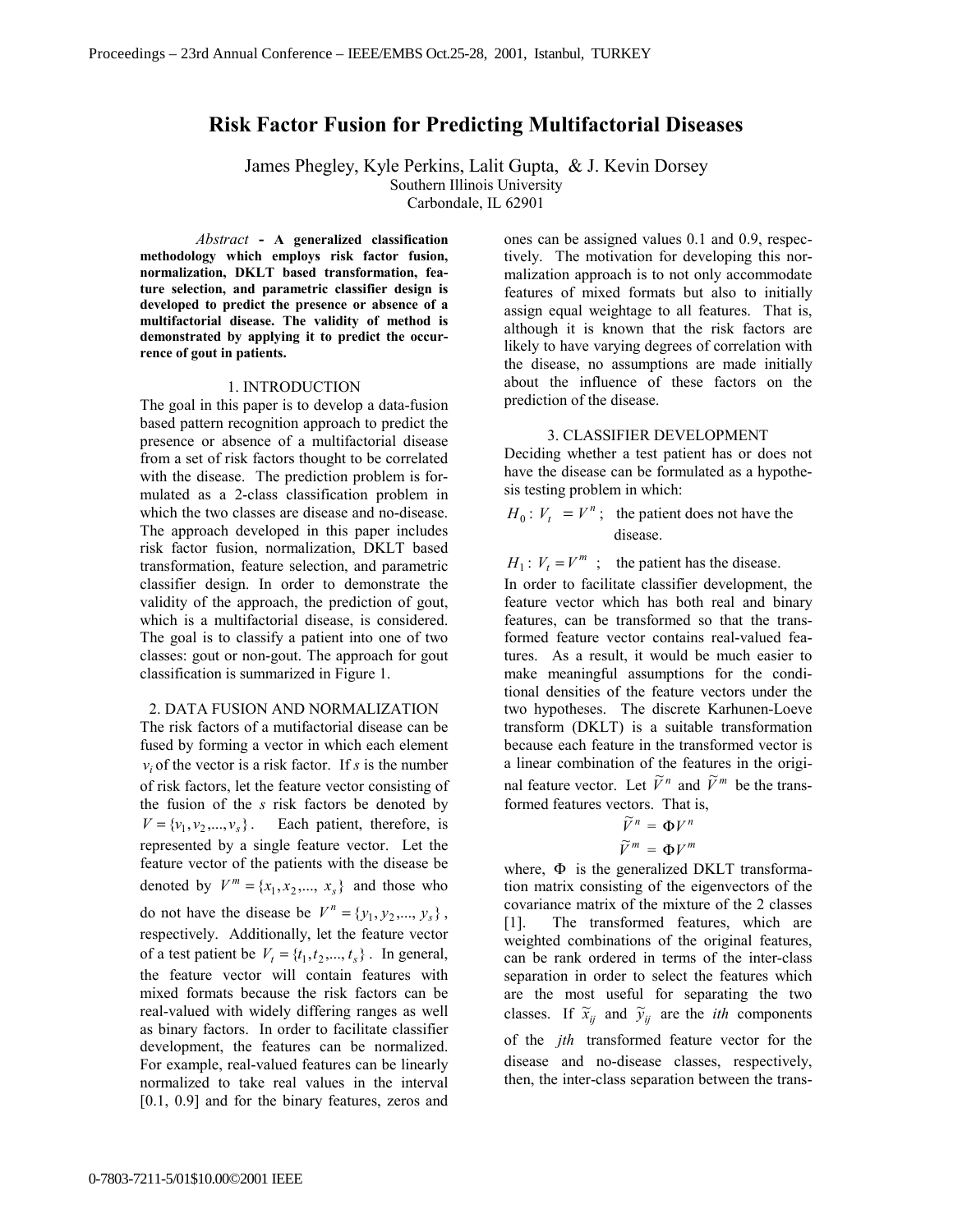# **Risk Factor Fusion for Predicting Multifactorial Diseases**

James Phegley, Kyle Perkins, Lalit Gupta, & J. Kevin Dorsey Southern Illinois University Carbondale, IL 62901

*Abstract* **- A generalized classification methodology which employs risk factor fusion, normalization, DKLT based transformation, feature selection, and parametric classifier design is developed to predict the presence or absence of a multifactorial disease. The validity of method is demonstrated by applying it to predict the occurrence of gout in patients.**

#### 1. INTRODUCTION

The goal in this paper is to develop a data-fusion based pattern recognition approach to predict the presence or absence of a multifactorial disease from a set of risk factors thought to be correlated with the disease. The prediction problem is formulated as a 2-class classification problem in which the two classes are disease and no-disease. The approach developed in this paper includes risk factor fusion, normalization, DKLT based transformation, feature selection, and parametric classifier design. In order to demonstrate the validity of the approach, the prediction of gout, which is a multifactorial disease, is considered. The goal is to classify a patient into one of two classes: gout or non-gout. The approach for gout classification is summarized in Figure 1.

#### 2. DATA FUSION AND NORMALIZATION

The risk factors of a mutifactorial disease can be fused by forming a vector in which each element  $v_i$  of the vector is a risk factor. If *s* is the number of risk factors, let the feature vector consisting of the fusion of the *s* risk factors be denoted by  $V = \{v_1, v_2, ..., v_s\}$ . Each patient, therefore, is represented by a single feature vector. Let the feature vector of the patients with the disease be denoted by  $V^m = \{x_1, x_2, ..., x_s\}$  and those who do not have the disease be  $V^n = \{y_1, y_2, ..., y_s\}$ , respectively. Additionally, let the feature vector of a test patient be  $V_t = \{t_1, t_2, ..., t_s\}$ . In general, the feature vector will contain features with mixed formats because the risk factors can be real-valued with widely differing ranges as well as binary factors. In order to facilitate classifier development, the features can be normalized. For example, real-valued features can be linearly normalized to take real values in the interval [0.1, 0.9] and for the binary features, zeros and

ones can be assigned values 0.1 and 0.9, respectively. The motivation for developing this normalization approach is to not only accommodate features of mixed formats but also to initially assign equal weightage to all features. That is, although it is known that the risk factors are likely to have varying degrees of correlation with the disease, no assumptions are made initially about the influence of these factors on the prediction of the disease.

### 3. CLASSIFIER DEVELOPMENT

Deciding whether a test patient has or does not have the disease can be formulated as a hypothesis testing problem in which:

 $H_0$ :  $V_t = V^n$ ; the patient does not have the disease.

 $H_1$ :  $V_t = V^m$ ; the patient has the disease.

In order to facilitate classifier development, the feature vector which has both real and binary features, can be transformed so that the transformed feature vector contains real-valued features. As a result, it would be much easier to make meaningful assumptions for the conditional densities of the feature vectors under the two hypotheses. The discrete Karhunen-Loeve transform (DKLT) is a suitable transformation because each feature in the transformed vector is a linear combination of the features in the original feature vector. Let  $\widetilde{V}^n$  and  $\widetilde{V}^m$  be the transformed features vectors. That is,

$$
\widetilde{V}^n = \Phi V^n
$$

$$
\widetilde{V}^m = \Phi V^m
$$

where, Φ is the generalized DKLT transformation matrix consisting of the eigenvectors of the covariance matrix of the mixture of the 2 classes [1]. The transformed features, which are weighted combinations of the original features, can be rank ordered in terms of the inter-class separation in order to select the features which are the most useful for separating the two classes. If  $\tilde{x}_{ij}$  and  $\tilde{y}_{ij}$  are the *ith* components of the *jth* transformed feature vector for the disease and no-disease classes, respectively, then, the inter-class separation between the trans-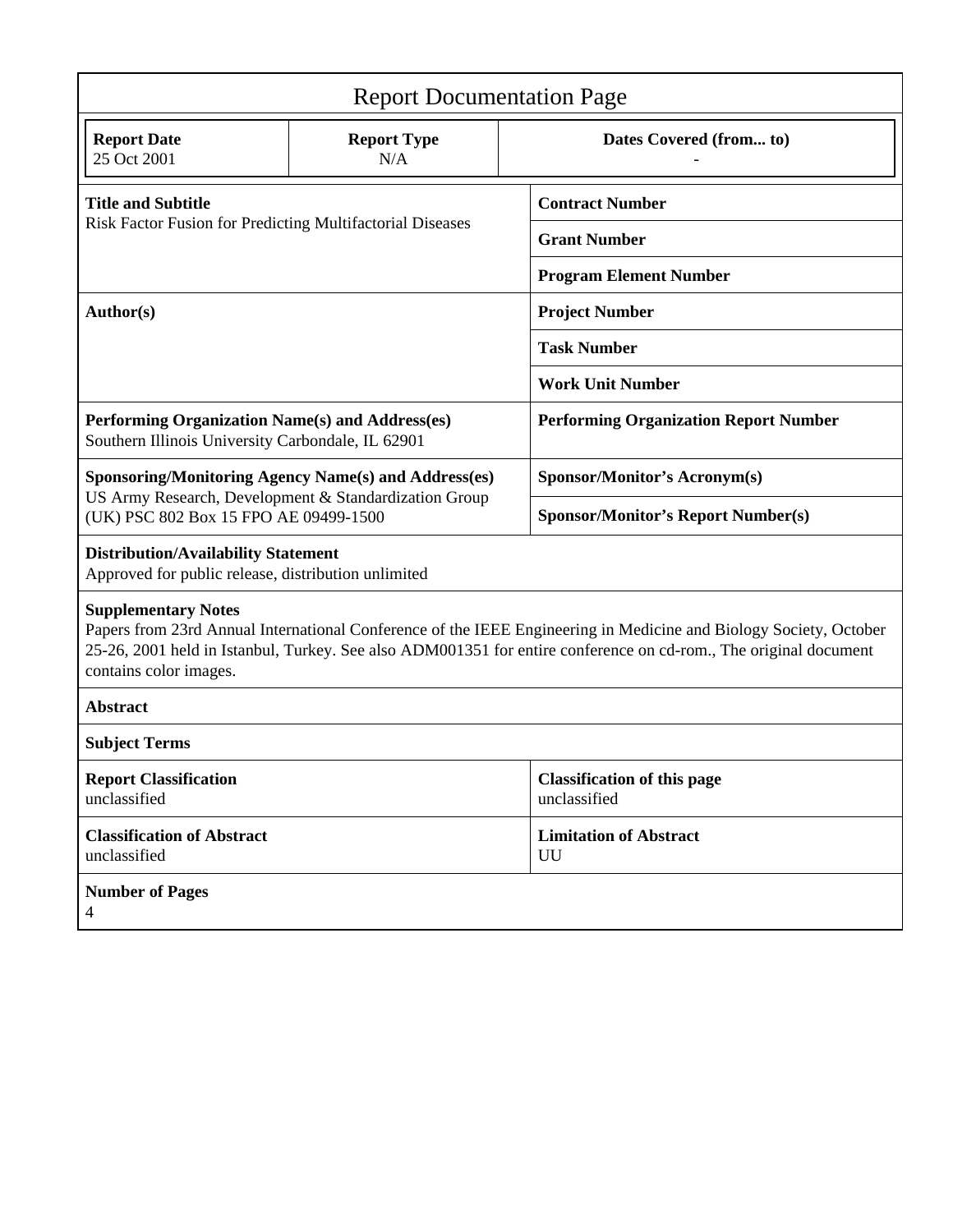| <b>Report Documentation Page</b>                                                                                                                                                                                                                                                              |                           |                                                    |
|-----------------------------------------------------------------------------------------------------------------------------------------------------------------------------------------------------------------------------------------------------------------------------------------------|---------------------------|----------------------------------------------------|
| <b>Report Date</b><br>25 Oct 2001                                                                                                                                                                                                                                                             | <b>Report Type</b><br>N/A | Dates Covered (from to)                            |
| <b>Title and Subtitle</b><br>Risk Factor Fusion for Predicting Multifactorial Diseases                                                                                                                                                                                                        |                           | <b>Contract Number</b>                             |
|                                                                                                                                                                                                                                                                                               |                           | <b>Grant Number</b>                                |
|                                                                                                                                                                                                                                                                                               |                           | <b>Program Element Number</b>                      |
| Author(s)                                                                                                                                                                                                                                                                                     |                           | <b>Project Number</b>                              |
|                                                                                                                                                                                                                                                                                               |                           | <b>Task Number</b>                                 |
|                                                                                                                                                                                                                                                                                               |                           | <b>Work Unit Number</b>                            |
| Performing Organization Name(s) and Address(es)<br>Southern Illinois University Carbondale, IL 62901                                                                                                                                                                                          |                           | <b>Performing Organization Report Number</b>       |
| <b>Sponsoring/Monitoring Agency Name(s) and Address(es)</b><br>US Army Research, Development & Standardization Group<br>(UK) PSC 802 Box 15 FPO AE 09499-1500                                                                                                                                 |                           | <b>Sponsor/Monitor's Acronym(s)</b>                |
|                                                                                                                                                                                                                                                                                               |                           | <b>Sponsor/Monitor's Report Number(s)</b>          |
| <b>Distribution/Availability Statement</b><br>Approved for public release, distribution unlimited                                                                                                                                                                                             |                           |                                                    |
| <b>Supplementary Notes</b><br>Papers from 23rd Annual International Conference of the IEEE Engineering in Medicine and Biology Society, October<br>25-26, 2001 held in Istanbul, Turkey. See also ADM001351 for entire conference on cd-rom., The original document<br>contains color images. |                           |                                                    |
| <b>Abstract</b>                                                                                                                                                                                                                                                                               |                           |                                                    |
| <b>Subject Terms</b>                                                                                                                                                                                                                                                                          |                           |                                                    |
| <b>Report Classification</b><br>unclassified                                                                                                                                                                                                                                                  |                           | <b>Classification of this page</b><br>unclassified |
| <b>Classification of Abstract</b><br>unclassified                                                                                                                                                                                                                                             |                           | <b>Limitation of Abstract</b><br>UU                |
| <b>Number of Pages</b><br>$\overline{4}$                                                                                                                                                                                                                                                      |                           |                                                    |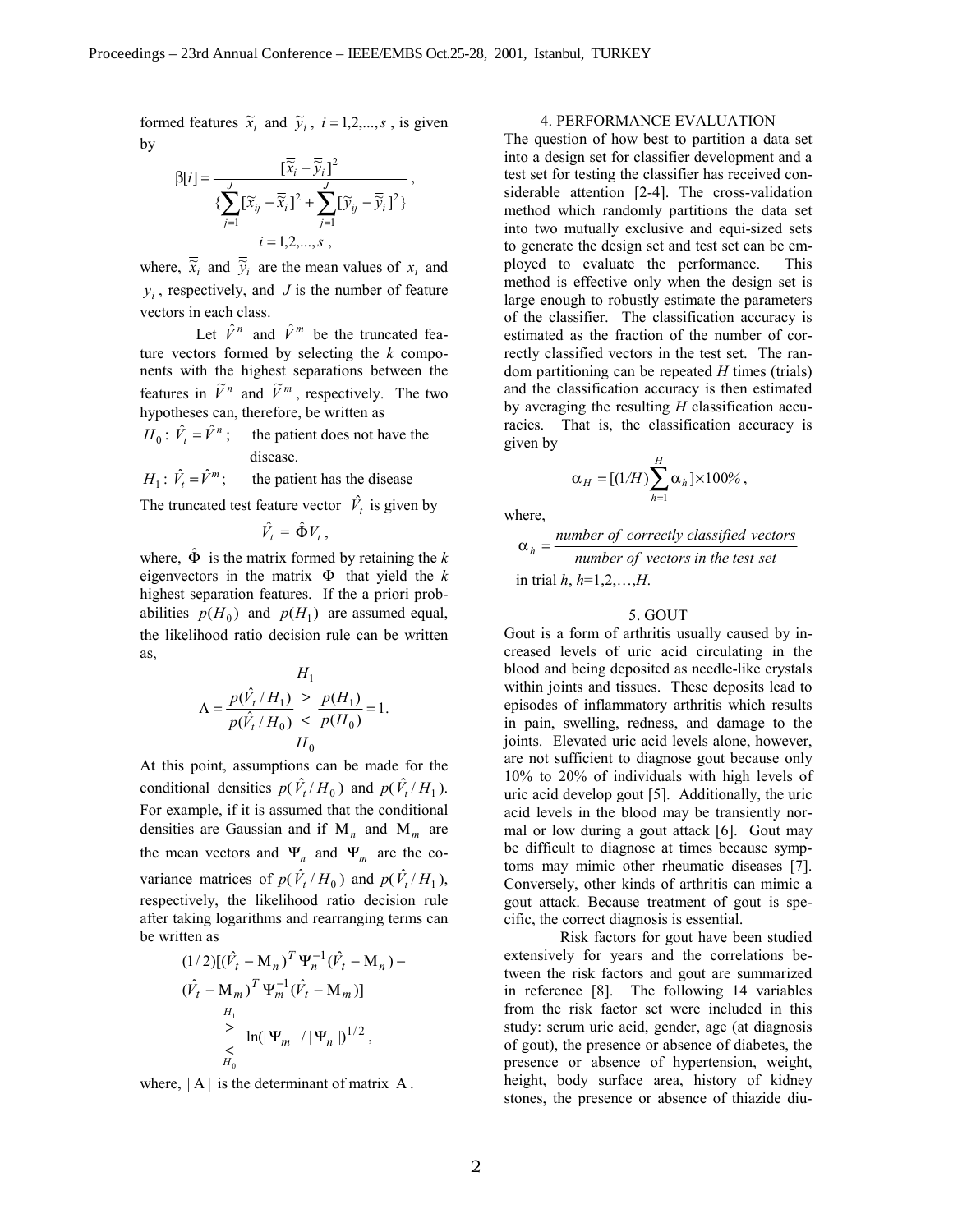formed features  $\tilde{x}_i$  and  $\tilde{y}_i$ ,  $i = 1, 2, ..., s$ , is given by

$$
\beta[i] = \frac{[\overline{\tilde{x}}_i - \overline{\tilde{y}}_i]^2}{\{\sum_{j=1}^J [\tilde{x}_{ij} - \overline{\tilde{x}}_i]^2 + \sum_{j=1}^J [\tilde{y}_{ij} - \overline{\tilde{y}}_i]^2\}},
$$
  
 $i = 1, 2, ..., s$ ,

where,  $\overline{\tilde{x}}_i$  and  $\overline{\tilde{y}}_i$  are the mean values of  $x_i$  and  $y_i$ , respectively, and *J* is the number of feature vectors in each class.

Let  $\hat{V}^n$  and  $\hat{V}^m$  be the truncated feature vectors formed by selecting the *k* components with the highest separations between the features in  $\tilde{V}^n$  and  $\tilde{V}^m$ , respectively. The two hypotheses can, therefore, be written as

$$
H_0: \hat{V}_t = \hat{V}^n; \text{ the patient does not have the disease.}
$$

 $H_1$ :  $\hat{V}_t = \hat{V}^m$ ; the patient has the disease

The truncated test feature vector  $\hat{V}_t$  is given by

 $\hat{V}_t = \hat{\Phi} V_t$ ,

where,  $\hat{\Phi}$  is the matrix formed by retaining the *k* eigenvectors in the matrix  $\Phi$  that yield the  $k$ highest separation features. If the a priori probabilities  $p(H_0)$  and  $p(H_1)$  are assumed equal, the likelihood ratio decision rule can be written as,

$$
H_1
$$
  

$$
\Lambda = \frac{p(\hat{V}_t / H_1)}{p(\hat{V}_t / H_0)} \le \frac{p(H_1)}{p(H_0)} = 1.
$$
  

$$
H_0
$$

At this point, assumptions can be made for the conditional densities  $p(\hat{V}_t / H_0)$  and  $p(\hat{V}_t / H_1)$ . For example, if it is assumed that the conditional densities are Gaussian and if Μ*n* and Μ*m* are the mean vectors and  $\Psi_n$  and  $\Psi_m$  are the covariance matrices of  $p(\hat{V}_t/H_0)$  and  $p(\hat{V}_t/H_1)$ , respectively, the likelihood ratio decision rule after taking logarithms and rearranging terms can be written as

$$
(1/2)[(\hat{V}_t - M_n)^T \Psi_n^{-1} (\hat{V}_t - M_n) - (\hat{V}_t - M_m)^T \Psi_m^{-1} (\hat{V}_t - M_m)]
$$
  
\n
$$
H_1
$$
\n
$$
\geq \ln(|\Psi_m|/|\Psi_n|)^{1/2},
$$
\n
$$
\leq H_0
$$

where,  $|A|$  is the determinant of matrix A.

## 4. PERFORMANCE EVALUATION

The question of how best to partition a data set into a design set for classifier development and a test set for testing the classifier has received considerable attention [2-4]. The cross-validation method which randomly partitions the data set into two mutually exclusive and equi-sized sets to generate the design set and test set can be employed to evaluate the performance. This method is effective only when the design set is large enough to robustly estimate the parameters of the classifier. The classification accuracy is estimated as the fraction of the number of correctly classified vectors in the test set. The random partitioning can be repeated *H* times (trials) and the classification accuracy is then estimated by averaging the resulting *H* classification accuracies. That is, the classification accuracy is given by

$$
\alpha_H = [(1/H)\sum_{h=1}^H \alpha_h] \times 100\%,
$$

where,

$$
\alpha_h = \frac{number\ of\ correctly\ classified\ vectors}{number\ of\ vectors\ in\ the\ test\ set}
$$

in trial  $h, h=1,2,...,H$ .

#### 5. GOUT

Gout is a form of arthritis usually caused by increased levels of uric acid circulating in the blood and being deposited as needle-like crystals within joints and tissues. These deposits lead to episodes of inflammatory arthritis which results in pain, swelling, redness, and damage to the joints. Elevated uric acid levels alone, however, are not sufficient to diagnose gout because only 10% to 20% of individuals with high levels of uric acid develop gout [5]. Additionally, the uric acid levels in the blood may be transiently normal or low during a gout attack [6]. Gout may be difficult to diagnose at times because symptoms may mimic other rheumatic diseases [7]. Conversely, other kinds of arthritis can mimic a gout attack. Because treatment of gout is specific, the correct diagnosis is essential.

Risk factors for gout have been studied extensively for years and the correlations between the risk factors and gout are summarized in reference [8]. The following 14 variables from the risk factor set were included in this study: serum uric acid, gender, age (at diagnosis of gout), the presence or absence of diabetes, the presence or absence of hypertension, weight, height, body surface area, history of kidney stones, the presence or absence of thiazide diu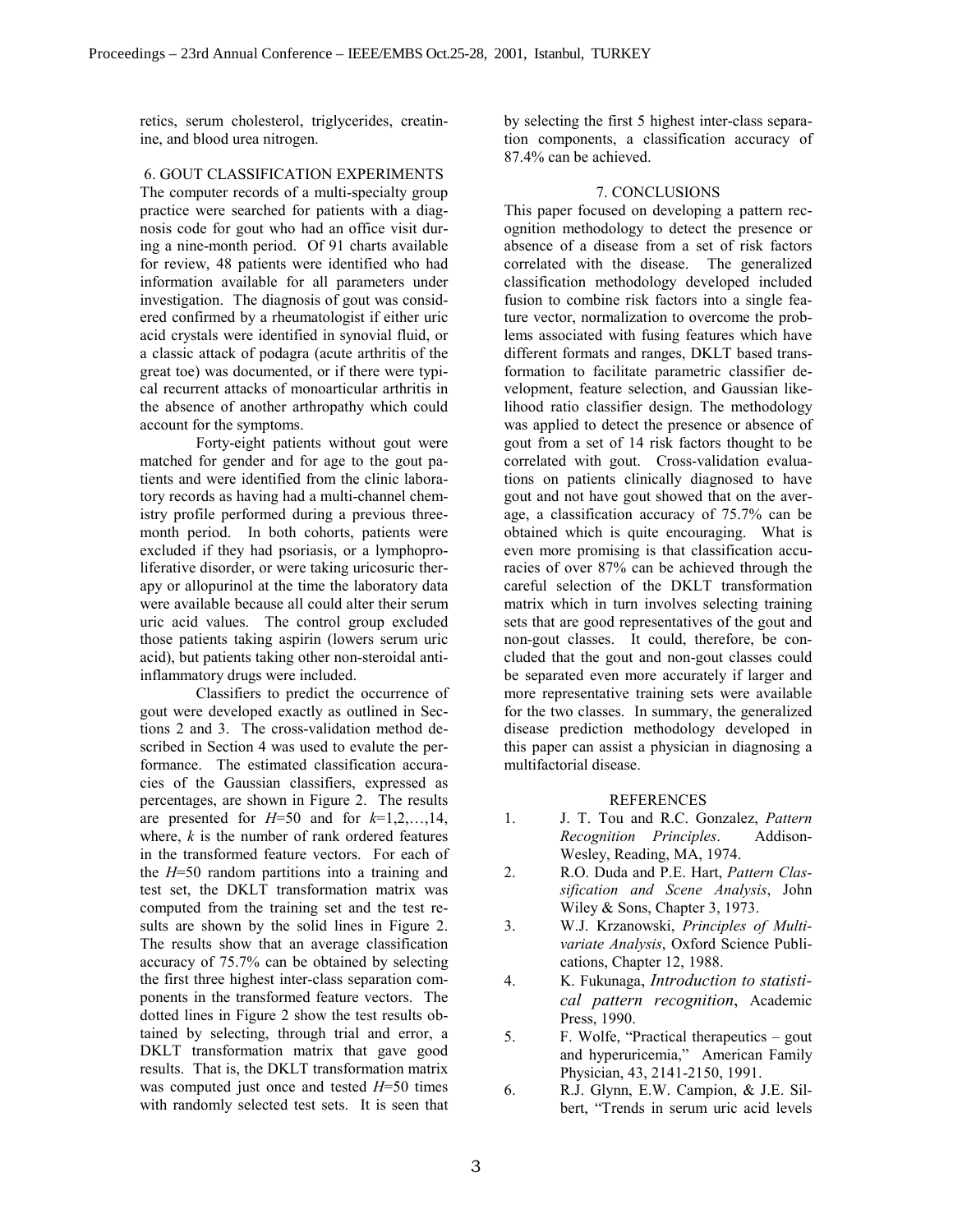retics, serum cholesterol, triglycerides, creatinine, and blood urea nitrogen.

6. GOUT CLASSIFICATION EXPERIMENTS

The computer records of a multi-specialty group practice were searched for patients with a diagnosis code for gout who had an office visit during a nine-month period. Of 91 charts available for review, 48 patients were identified who had information available for all parameters under investigation. The diagnosis of gout was considered confirmed by a rheumatologist if either uric acid crystals were identified in synovial fluid, or a classic attack of podagra (acute arthritis of the great toe) was documented, or if there were typical recurrent attacks of monoarticular arthritis in the absence of another arthropathy which could account for the symptoms.

 Forty-eight patients without gout were matched for gender and for age to the gout patients and were identified from the clinic laboratory records as having had a multi-channel chemistry profile performed during a previous threemonth period. In both cohorts, patients were excluded if they had psoriasis, or a lymphoproliferative disorder, or were taking uricosuric therapy or allopurinol at the time the laboratory data were available because all could alter their serum uric acid values. The control group excluded those patients taking aspirin (lowers serum uric acid), but patients taking other non-steroidal antiinflammatory drugs were included.

 Classifiers to predict the occurrence of gout were developed exactly as outlined in Sections 2 and 3. The cross-validation method described in Section 4 was used to evalute the performance. The estimated classification accuracies of the Gaussian classifiers, expressed as percentages, are shown in Figure 2. The results are presented for  $H=50$  and for  $k=1,2,\ldots,14$ , where, *k* is the number of rank ordered features in the transformed feature vectors. For each of the *H*=50 random partitions into a training and test set, the DKLT transformation matrix was computed from the training set and the test results are shown by the solid lines in Figure 2. The results show that an average classification accuracy of 75.7% can be obtained by selecting the first three highest inter-class separation components in the transformed feature vectors. The dotted lines in Figure 2 show the test results obtained by selecting, through trial and error, a DKLT transformation matrix that gave good results. That is, the DKLT transformation matrix was computed just once and tested *H*=50 times with randomly selected test sets. It is seen that by selecting the first 5 highest inter-class separation components, a classification accuracy of 87.4% can be achieved.

## 7. CONCLUSIONS

This paper focused on developing a pattern recognition methodology to detect the presence or absence of a disease from a set of risk factors correlated with the disease. The generalized classification methodology developed included fusion to combine risk factors into a single feature vector, normalization to overcome the problems associated with fusing features which have different formats and ranges, DKLT based transformation to facilitate parametric classifier development, feature selection, and Gaussian likelihood ratio classifier design. The methodology was applied to detect the presence or absence of gout from a set of 14 risk factors thought to be correlated with gout. Cross-validation evaluations on patients clinically diagnosed to have gout and not have gout showed that on the average, a classification accuracy of 75.7% can be obtained which is quite encouraging. What is even more promising is that classification accuracies of over 87% can be achieved through the careful selection of the DKLT transformation matrix which in turn involves selecting training sets that are good representatives of the gout and non-gout classes. It could, therefore, be concluded that the gout and non-gout classes could be separated even more accurately if larger and more representative training sets were available for the two classes. In summary, the generalized disease prediction methodology developed in this paper can assist a physician in diagnosing a multifactorial disease.

## REFERENCES

- 1. J. T. Tou and R.C. Gonzalez, *Pattern Recognition Principles*. Addison-Wesley, Reading, MA, 1974.
- 2. R.O. Duda and P.E. Hart, *Pattern Classification and Scene Analysis*, John Wiley & Sons, Chapter 3, 1973.
- 3. W.J. Krzanowski, *Principles of Multivariate Analysis*, Oxford Science Publications, Chapter 12, 1988.
- 4. K. Fukunaga, *Introduction to statistical pattern recognition*, Academic Press, 1990.
- 5. F. Wolfe, "Practical therapeutics  $-\text{gout}$ and hyperuricemia," American Family Physician, 43, 2141-2150, 1991.
- 6. R.J. Glynn, E.W. Campion, & J.E. Silbert, "Trends in serum uric acid levels